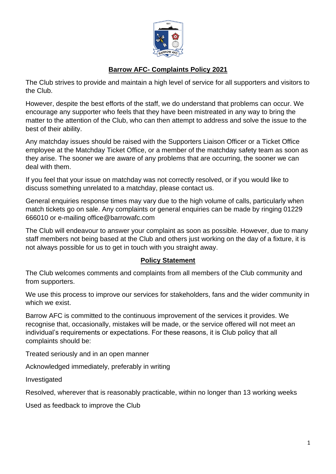

## **Barrow AFC- Complaints Policy 2021**

The Club strives to provide and maintain a high level of service for all supporters and visitors to the Club.

However, despite the best efforts of the staff, we do understand that problems can occur. We encourage any supporter who feels that they have been mistreated in any way to bring the matter to the attention of the Club, who can then attempt to address and solve the issue to the best of their ability.

Any matchday issues should be raised with the Supporters Liaison Officer or a Ticket Office employee at the Matchday Ticket Office, or a member of the matchday safety team as soon as they arise. The sooner we are aware of any problems that are occurring, the sooner we can deal with them.

If you feel that your issue on matchday was not correctly resolved, or if you would like to discuss something unrelated to a matchday, please contact us.

General enquiries response times may vary due to the high volume of calls, particularly when match tickets go on sale. Any complaints or general enquiries can be made by ringing 01229 666010 or e-mailing office@barrowafc.com

The Club will endeavour to answer your complaint as soon as possible. However, due to many staff members not being based at the Club and others just working on the day of a fixture, it is not always possible for us to get in touch with you straight away.

#### **Policy Statement**

The Club welcomes comments and complaints from all members of the Club community and from supporters.

We use this process to improve our services for stakeholders, fans and the wider community in which we exist.

Barrow AFC is committed to the continuous improvement of the services it provides. We recognise that, occasionally, mistakes will be made, or the service offered will not meet an individual's requirements or expectations. For these reasons, it is Club policy that all complaints should be:

Treated seriously and in an open manner

Acknowledged immediately, preferably in writing

Investigated

Resolved, wherever that is reasonably practicable, within no longer than 13 working weeks

Used as feedback to improve the Club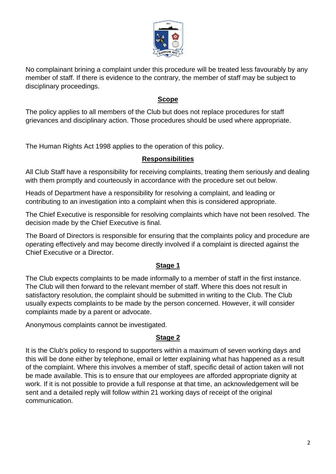

No complainant brining a complaint under this procedure will be treated less favourably by any member of staff. If there is evidence to the contrary, the member of staff may be subject to disciplinary proceedings.

#### **Scope**

The policy applies to all members of the Club but does not replace procedures for staff grievances and disciplinary action. Those procedures should be used where appropriate.

The Human Rights Act 1998 applies to the operation of this policy.

### **Responsibilities**

All Club Staff have a responsibility for receiving complaints, treating them seriously and dealing with them promptly and courteously in accordance with the procedure set out below.

Heads of Department have a responsibility for resolving a complaint, and leading or contributing to an investigation into a complaint when this is considered appropriate.

The Chief Executive is responsible for resolving complaints which have not been resolved. The decision made by the Chief Executive is final.

The Board of Directors is responsible for ensuring that the complaints policy and procedure are operating effectively and may become directly involved if a complaint is directed against the Chief Executive or a Director.

### **Stage 1**

The Club expects complaints to be made informally to a member of staff in the first instance. The Club will then forward to the relevant member of staff. Where this does not result in satisfactory resolution, the complaint should be submitted in writing to the Club. The Club usually expects complaints to be made by the person concerned. However, it will consider complaints made by a parent or advocate.

Anonymous complaints cannot be investigated.

# **Stage 2**

It is the Club's policy to respond to supporters within a maximum of seven working days and this will be done either by telephone, email or letter explaining what has happened as a result of the complaint. Where this involves a member of staff, specific detail of action taken will not be made available. This is to ensure that our employees are afforded appropriate dignity at work. If it is not possible to provide a full response at that time, an acknowledgement will be sent and a detailed reply will follow within 21 working days of receipt of the original communication.